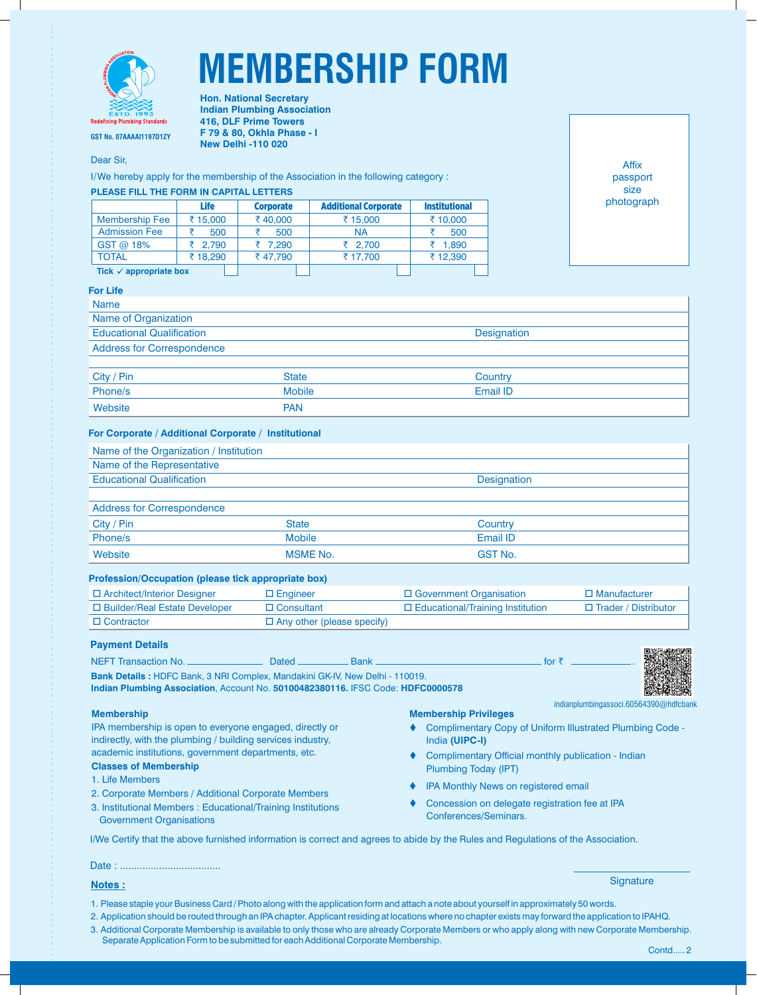

# **MEMBERSHIP FORM**

**GST No. 07AAAAI1197D1ZY**

Dear Sir,

I/We hereby apply for the membership of the Association in the following category :

**Hon. National Secretary Indian Plumbing Association 416, DLF Prime Towers F 79 & 80, Okhla Phase - I New Delhi -110 020**

# **PLEASE FILL THE FORM IN CAPITAL LETTERS**

|                                   | <b>Life</b> | <b>Corporate</b> | <b>Additional Corporate</b> | <b>Institutional</b> |
|-----------------------------------|-------------|------------------|-----------------------------|----------------------|
| <b>Membership Fee</b>             | ₹ 15,000    | ₹40,000          | ₹15,000                     | ₹ 10,000             |
| <b>Admission Fee</b>              | 500         | 500              | <b>NA</b>                   | 500                  |
| GST @ 18%                         | ₹ 2.790     | ₹ 7.290          | ₹ 2.700                     | ₹ 1.890              |
| <b>TOTAL</b>                      | ₹18.290     | ₹47.790          | ₹17.700                     | ₹12.390              |
| Tick $\checkmark$ appropriate box |             |                  |                             |                      |

Affix passport size photograph

### **For Life**

| <b>Name</b>                       |       |             |  |  |
|-----------------------------------|-------|-------------|--|--|
| Name of Organization              |       |             |  |  |
| <b>Educational Qualification</b>  |       | Designation |  |  |
| <b>Address for Correspondence</b> |       |             |  |  |
|                                   |       |             |  |  |
| City / Pin                        | State | Country     |  |  |

| City / Pin | State         | Countrv  |
|------------|---------------|----------|
| Phone/s    | <b>Mobile</b> | Email ID |
| Website    | <b>PAN</b>    |          |
|            |               |          |

# **For Corporate / Additional Corporate / Institutional**

| Name of the Organization / Institution |             |
|----------------------------------------|-------------|
| Name of the Representative             |             |
| <b>Educational Qualification</b>       | Designation |
|                                        |             |
| <b>Address for Correspondence</b>      |             |

#### Address for Correspondence

| City / Pin | <b>State</b>    | Country        |
|------------|-----------------|----------------|
| Phone/s    | <b>Mobile</b>   | Email ID       |
| Website    | <b>MSME No.</b> | <b>GST No.</b> |

# **Profession/Occupation (please tick appropriate box)**

| □ Architect/Interior Designer   | $\Box$ Engineer                   | $\Box$ Government Organisation          | $\Box$ Manufacturer    |
|---------------------------------|-----------------------------------|-----------------------------------------|------------------------|
| □ Builder/Real Estate Developer | $\Box$ Consultant                 | $\Box$ Educational/Training Institution | □ Trader / Distributor |
| $\Box$ Contractor               | $\Box$ Any other (please specify) |                                         |                        |

# **Payment Details**

NEFT Transaction No. Dated Bank for ` . **Bank Details :** HDFC Bank, 3 NRI Complex, Mandakini GK-IV, New Delhi - 110019.

**Indian Plumbing Association**, Account No. **50100482380116.** IFSC Code: **HDFC0000578**

#### **Membership**

IPA membership is open to everyone engaged, directly or indirectly, with the plumbing / building services industry, academic institutions, government departments, etc.

# **Classes of Membership**

- 1. Life Members
- 2. Corporate Members / Additional Corporate Members
- 3. Institutional Members : Educational/Training Institutions Government Organisations

### **Membership Privileges**

- ♦ Complimentary Copy of Uniform Illustrated Plumbing Code -India **(UIPC-I)**
- Complimentary Official monthly publication Indian Plumbing Today (IPT)
- **IPA Monthly News on registered email**
- $\bullet$  Concession on delegate registration fee at IPA Conferences/Seminars.

I/We Certify that the above furnished information is correct and agrees to abide by the Rules and Regulations of the Association.

#### Date : ....................................

# **Notes :**

**Signature** 

indianplumbingassoci.60564390@hdfcbank

- 1. Please staple your Business Card / Photo along with the application form and attach a note about yourself in approximately 50 words.
- 2. Application should be routed through an IPA chapter. Applicant residing at locations where no chapter exists may forward the application to IPAHQ.
- 3. Additional Corporate Membership is available to only those who are already Corporate Members or who apply along with new Corporate Membership. Separate Application Form to be submitted for each Additional Corporate Membership.